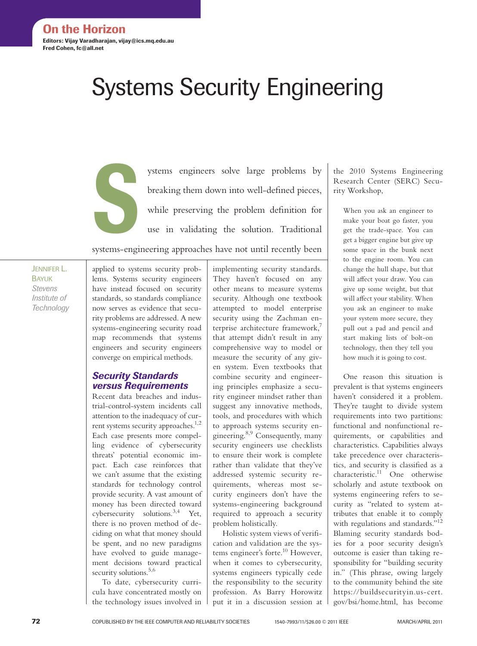# Systems Security Engineering

ystems engineers solve large problems by<br>breaking them down into well-defined pieces,<br>while preserving the problem definition for<br>use in validating the solution. Traditional breaking them down into well-defined pieces, while preserving the problem definition for use in validating the solution. Traditional systems-engineering approaches have not until recently been

Jennifer L. **BAYUK** *Stevens Institute of Technology*

applied to systems security problems. Systems security engineers have instead focused on security standards, so standards compliance now serves as evidence that security problems are addressed. A new systems-engineering security road map recommends that systems engineers and security engineers converge on empirical methods.

## *Security Standards versus Requirements*

Recent data breaches and industrial-control-system incidents call attention to the inadequacy of current systems security approaches.<sup>1,2</sup> Each case presents more compelling evidence of cybersecurity threats' potential economic impact. Each case reinforces that we can't assume that the existing standards for technology control provide security. A vast amount of money has been directed toward cybersecurity solutions.<sup>3,4</sup> Yet, there is no proven method of deciding on what that money should be spent, and no new paradigms have evolved to guide management decisions toward practical security solutions.<sup>5,6</sup>

To date, cybersecurity curricula have concentrated mostly on the technology issues involved in

implementing security standards. They haven't focused on any other means to measure systems security. Although one textbook attempted to model enterprise security using the Zachman enterprise architecture framework, $\overline{7}$ that attempt didn't result in any comprehensive way to model or measure the security of any given system. Even textbooks that combine security and engineering principles emphasize a security engineer mindset rather than suggest any innovative methods, tools, and procedures with which to approach systems security engineering.<sup>8,9</sup> Consequently, many security engineers use checklists to ensure their work is complete rather than validate that they've addressed systemic security requirements, whereas most security engineers don't have the systems-engineering background required to approach a security problem holistically.

Holistic system views of verification and validation are the systems engineer's forte.<sup>10</sup> However, when it comes to cybersecurity, systems engineers typically cede the responsibility to the security profession. As Barry Horowitz put it in a discussion session at the 2010 Systems Engineering Research Center (SERC) Security Workshop,

When you ask an engineer to make your boat go faster, you get the trade-space. You can get a bigger engine but give up some space in the bunk next to the engine room. You can change the hull shape, but that will affect your draw. You can give up some weight, but that will affect your stability. When you ask an engineer to make your system more secure, they pull out a pad and pencil and start making lists of bolt-on technology, then they tell you how much it is going to cost.

One reason this situation is prevalent is that systems engineers haven't considered it a problem. They're taught to divide system requirements into two partitions: functional and nonfunctional requirements, or capabilities and characteristics. Capabilities always take precedence over characteristics, and security is classified as a characteristic. $11$  One otherwise scholarly and astute textbook on systems engineering refers to security as "related to system attributes that enable it to comply with regulations and standards."<sup>12</sup> Blaming security standards bodies for a poor security design's outcome is easier than taking responsibility for "building security in." (This phrase, owing largely to the community behind the site https://buildsecurityin.us-cert. gov/bsi/home.html, has become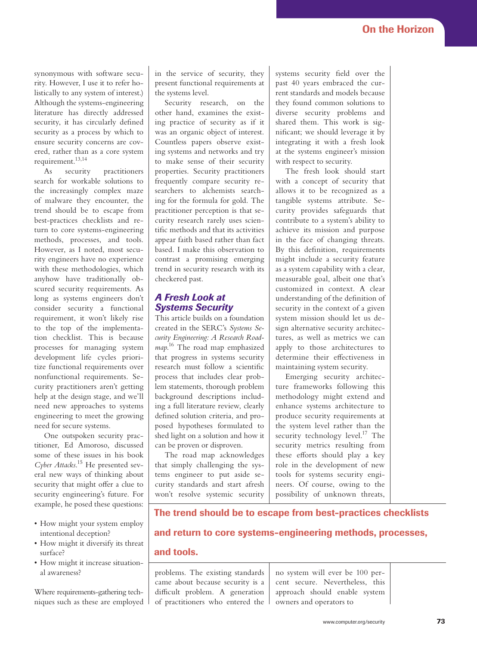synonymous with software security. However, I use it to refer holistically to any system of interest.) Although the systems-engineering literature has directly addressed security, it has circularly defined security as a process by which to ensure security concerns are covered, rather than as a core system requirement.13,14

As security practitioners search for workable solutions to the increasingly complex maze of malware they encounter, the trend should be to escape from best-practices checklists and return to core systems-engineering methods, processes, and tools. However, as I noted, most security engineers have no experience with these methodologies, which anyhow have traditionally obscured security requirements. As long as systems engineers don't consider security a functional requirement, it won't likely rise to the top of the implementation checklist. This is because processes for managing system development life cycles prioritize functional requirements over nonfunctional requirements. Security practitioners aren't getting help at the design stage, and we'll need new approaches to systems engineering to meet the growing need for secure systems.

One outspoken security practitioner, Ed Amoroso, discussed some of these issues in his book *Cyber Attacks*. 15 He presented several new ways of thinking about security that might offer a clue to security engineering's future. For example, he posed these questions:

- How might your system employ intentional deception?
- How might it diversify its threat surface?
- How might it increase situational awareness?

Where requirements-gathering techniques such as these are employed in the service of security, they present functional requirements at the systems level.

Security research, on the other hand, examines the existing practice of security as if it was an organic object of interest. Countless papers observe existing systems and networks and try to make sense of their security properties. Security practitioners frequently compare security researchers to alchemists searching for the formula for gold. The practitioner perception is that security research rarely uses scientific methods and that its activities appear faith based rather than fact based. I make this observation to contrast a promising emerging trend in security research with its checkered past.

### *A Fresh Look at Systems Security*

This article builds on a foundation created in the SERC's *Systems Security Engineering: A Research Roadmap*. 16 The road map emphasized that progress in systems security research must follow a scientific process that includes clear problem statements, thorough problem background descriptions including a full literature review, clearly defined solution criteria, and proposed hypotheses formulated to shed light on a solution and how it can be proven or disproven.

The road map acknowledges that simply challenging the systems engineer to put aside security standards and start afresh won't resolve systemic security

systems security field over the past 40 years embraced the current standards and models because they found common solutions to diverse security problems and shared them. This work is significant; we should leverage it by integrating it with a fresh look at the systems engineer's mission with respect to security.

The fresh look should start with a concept of security that allows it to be recognized as a tangible systems attribute. Security provides safeguards that contribute to a system's ability to achieve its mission and purpose in the face of changing threats. By this definition, requirements might include a security feature as a system capability with a clear, measurable goal, albeit one that's customized in context. A clear understanding of the definition of security in the context of a given system mission should let us design alternative security architectures, as well as metrics we can apply to those architectures to determine their effectiveness in maintaining system security.

Emerging security architecture frameworks following this methodology might extend and enhance systems architecture to produce security requirements at the system level rather than the security technology level. $17$  The security metrics resulting from these efforts should play a key role in the development of new tools for systems security engineers. Of course, owing to the possibility of unknown threats,

# The trend should be to escape from best-practices checklists

# and return to core systems-engineering methods, processes,

### and tools.

problems. The existing standards came about because security is a difficult problem. A generation of practitioners who entered the no system will ever be 100 percent secure. Nevertheless, this approach should enable system owners and operators to